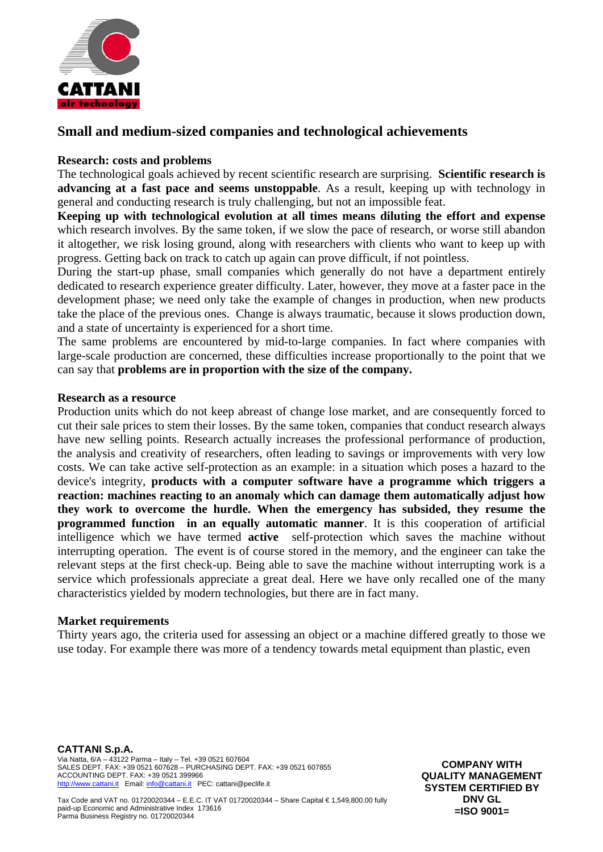

# **Small and medium-sized companies and technological achievements**

## **Research: costs and problems**

The technological goals achieved by recent scientific research are surprising. **Scientific research is advancing at a fast pace and seems unstoppable**. As a result, keeping up with technology in general and conducting research is truly challenging, but not an impossible feat.

**Keeping up with technological evolution at all times means diluting the effort and expense**  which research involves. By the same token, if we slow the pace of research, or worse still abandon it altogether, we risk losing ground, along with researchers with clients who want to keep up with progress. Getting back on track to catch up again can prove difficult, if not pointless.

During the start-up phase, small companies which generally do not have a department entirely dedicated to research experience greater difficulty. Later, however, they move at a faster pace in the development phase; we need only take the example of changes in production, when new products take the place of the previous ones. Change is always traumatic, because it slows production down, and a state of uncertainty is experienced for a short time.

The same problems are encountered by mid-to-large companies. In fact where companies with large-scale production are concerned, these difficulties increase proportionally to the point that we can say that **problems are in proportion with the size of the company.** 

## **Research as a resource**

Production units which do not keep abreast of change lose market, and are consequently forced to cut their sale prices to stem their losses. By the same token, companies that conduct research always have new selling points. Research actually increases the professional performance of production, the analysis and creativity of researchers, often leading to savings or improvements with very low costs. We can take active self-protection as an example: in a situation which poses a hazard to the device's integrity, **products with a computer software have a programme which triggers a reaction: machines reacting to an anomaly which can damage them automatically adjust how they work to overcome the hurdle. When the emergency has subsided, they resume the programmed function in an equally automatic manner**. It is this cooperation of artificial intelligence which we have termed **active** self-protection which saves the machine without interrupting operation. The event is of course stored in the memory, and the engineer can take the relevant steps at the first check-up. Being able to save the machine without interrupting work is a service which professionals appreciate a great deal. Here we have only recalled one of the many characteristics yielded by modern technologies, but there are in fact many.

## **Market requirements**

Thirty years ago, the criteria used for assessing an object or a machine differed greatly to those we use today. For example there was more of a tendency towards metal equipment than plastic, even

**CATTANI S.p.A.**  Via Natta, 6/A – 43122 Parma – Italy – Tel. +39 0521 607604 SALES DEPT. FAX: +39 0521 607628 – PURCHASING DEPT. FAX: +39 0521 607855 ACCOUNTING DEPT. FAX: +39 0521 399966 http://www.cattani.it Email: info@cattani.it PEC: cattani@peclife.it

**COMPANY WITH QUALITY MANAGEMENT SYSTEM CERTIFIED BY DNV GL =ISO 9001=** 

Tax Code and VAT no. 01720020344 – E.E.C. IT VAT 01720020344 – Share Capital € 1,549,800.00 fully paid-up Economic and Administrative Index 173616 Parma Business Registry no. 01720020344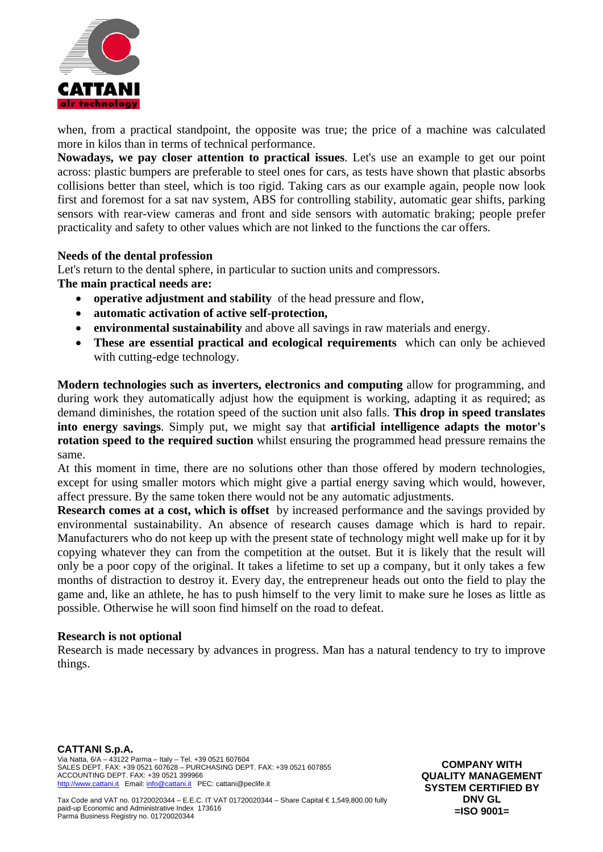

when, from a practical standpoint, the opposite was true; the price of a machine was calculated more in kilos than in terms of technical performance.

**Nowadays, we pay closer attention to practical issues**. Let's use an example to get our point across: plastic bumpers are preferable to steel ones for cars, as tests have shown that plastic absorbs collisions better than steel, which is too rigid. Taking cars as our example again, people now look first and foremost for a sat nav system, ABS for controlling stability, automatic gear shifts, parking sensors with rear-view cameras and front and side sensors with automatic braking; people prefer practicality and safety to other values which are not linked to the functions the car offers.

## **Needs of the dental profession**

Let's return to the dental sphere, in particular to suction units and compressors. **The main practical needs are:**

- **operative adjustment and stability** of the head pressure and flow,
- **automatic activation of active self-protection,**
- **environmental sustainability** and above all savings in raw materials and energy.
- **These are essential practical and ecological requirements** which can only be achieved with cutting-edge technology.

**Modern technologies such as inverters, electronics and computing** allow for programming, and during work they automatically adjust how the equipment is working, adapting it as required; as demand diminishes, the rotation speed of the suction unit also falls. **This drop in speed translates into energy savings**. Simply put, we might say that **artificial intelligence adapts the motor's rotation speed to the required suction** whilst ensuring the programmed head pressure remains the same.

At this moment in time, there are no solutions other than those offered by modern technologies, except for using smaller motors which might give a partial energy saving which would, however, affect pressure. By the same token there would not be any automatic adjustments.

**Research comes at a cost, which is offset** by increased performance and the savings provided by environmental sustainability. An absence of research causes damage which is hard to repair. Manufacturers who do not keep up with the present state of technology might well make up for it by copying whatever they can from the competition at the outset. But it is likely that the result will only be a poor copy of the original. It takes a lifetime to set up a company, but it only takes a few months of distraction to destroy it. Every day, the entrepreneur heads out onto the field to play the game and, like an athlete, he has to push himself to the very limit to make sure he loses as little as possible. Otherwise he will soon find himself on the road to defeat.

## **Research is not optional**

Research is made necessary by advances in progress. Man has a natural tendency to try to improve things.

**CATTANI S.p.A.**  Via Natta, 6/A – 43122 Parma – Italy – Tel. +39 0521 607604 SALES DEPT. FAX: +39 0521 607628 – PURCHASING DEPT. FAX: +39 0521 607855 ACCOUNTING DEPT. FAX: +39 0521 399966 http://www.cattani.it Email: info@cattani.it PEC: cattani@peclife.it

**COMPANY WITH QUALITY MANAGEMENT SYSTEM CERTIFIED BY DNV GL =ISO 9001=** 

Tax Code and VAT no. 01720020344 – E.E.C. IT VAT 01720020344 – Share Capital € 1,549,800.00 fully paid-up Economic and Administrative Index 173616 Parma Business Registry no. 01720020344